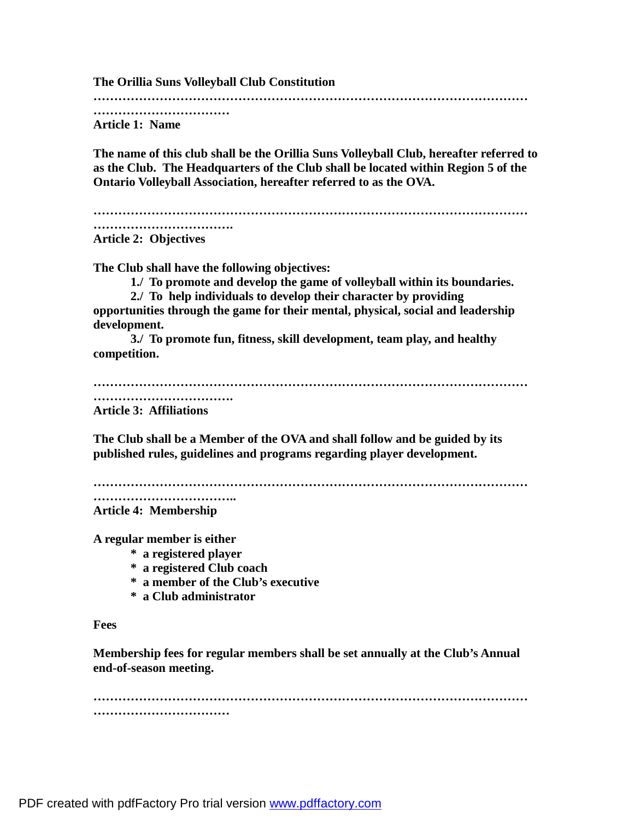**The Orillia Suns Volleyball Club Constitution …………………………………………………………………………………………… …………………………… Article 1: Name The name of this club shall be the Orillia Suns Volleyball Club, hereafter referred to as the Club. The Headquarters of the Club shall be located within Region 5 of the Ontario Volleyball Association, hereafter referred to as the OVA. …………………………………………………………………………………………… ……………………………. Article 2: Objectives The Club shall have the following objectives: 1./ To promote and develop the game of volleyball within its boundaries. 2./ To help individuals to develop their character by providing opportunities through the game for their mental, physical, social and leadership development. 3./ To promote fun, fitness, skill development, team play, and healthy competition. …………………………………………………………………………………………… ……………………………. Article 3: Affiliations The Club shall be a Member of the OVA and shall follow and be guided by its published rules, guidelines and programs regarding player development. …………………………………………………………………………………………… …………………………….. Article 4: Membership A regular member is either \* a registered player \* a registered Club coach**

- **\* a member of the Club's executive**
- **\* a Club administrator**

#### **Fees**

**Membership fees for regular members shall be set annually at the Club's Annual end-of-season meeting.**

**…………………………………………………………………………………………… ……………………………**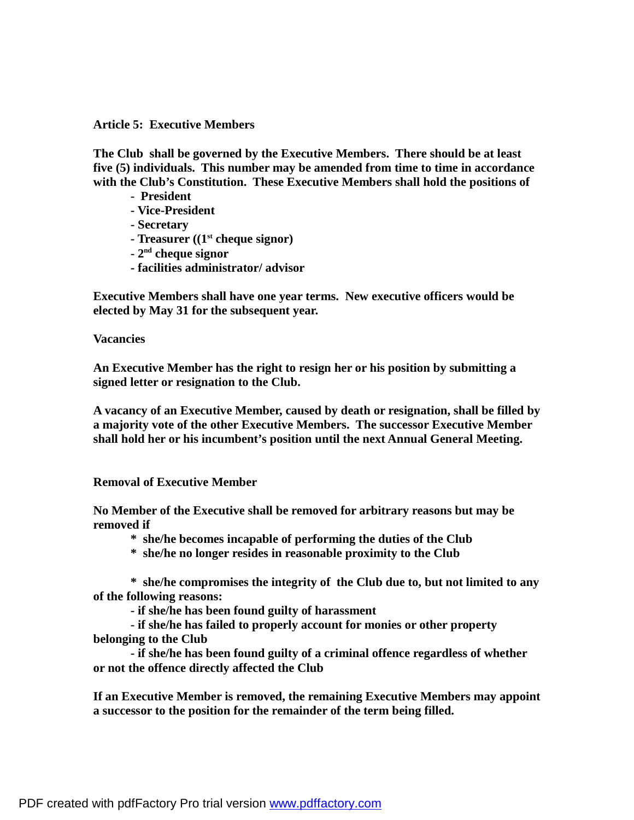### **Article 5: Executive Members**

**The Club shall be governed by the Executive Members. There should be at least five (5) individuals. This number may be amended from time to time in accordance with the Club's Constitution. These Executive Members shall hold the positions of**

- **President**
- **- Vice-President**
- **- Secretary**
- **- Treasurer ((1st cheque signor)**
- **2nd cheque signor**
- **- facilities administrator/ advisor**

**Executive Members shall have one year terms. New executive officers would be elected by May 31 for the subsequent year.** 

**Vacancies**

**An Executive Member has the right to resign her or his position by submitting a signed letter or resignation to the Club.**

**A vacancy of an Executive Member, caused by death or resignation, shall be filled by a majority vote of the other Executive Members. The successor Executive Member shall hold her or his incumbent's position until the next Annual General Meeting.**

# **Removal of Executive Member**

**No Member of the Executive shall be removed for arbitrary reasons but may be removed if**

- **\* she/he becomes incapable of performing the duties of the Club**
- **\* she/he no longer resides in reasonable proximity to the Club**

**\* she/he compromises the integrity of the Club due to, but not limited to any of the following reasons:**

**- if she/he has been found guilty of harassment**

**- if she/he has failed to properly account for monies or other property belonging to the Club**

**- if she/he has been found guilty of a criminal offence regardless of whether or not the offence directly affected the Club**

**If an Executive Member is removed, the remaining Executive Members may appoint a successor to the position for the remainder of the term being filled.**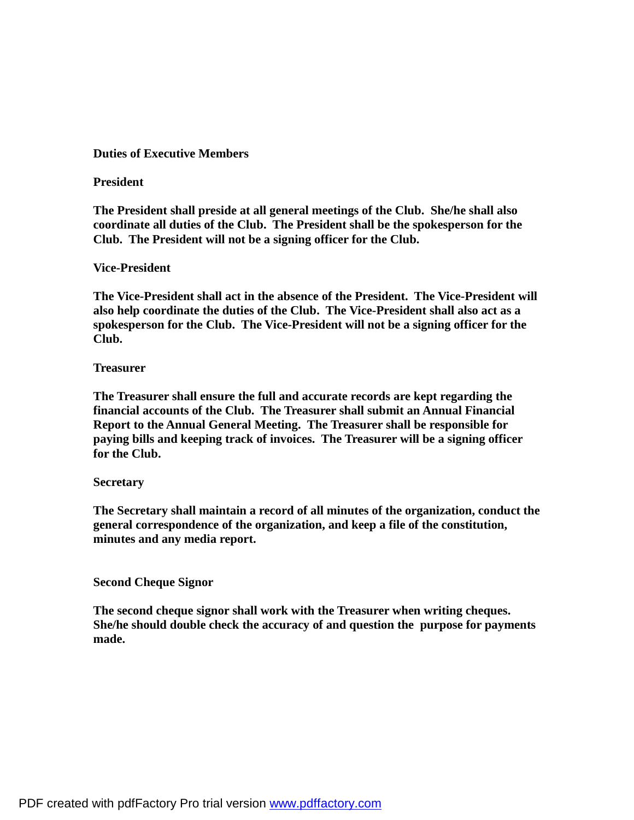# **Duties of Executive Members**

# **President**

**The President shall preside at all general meetings of the Club. She/he shall also coordinate all duties of the Club. The President shall be the spokesperson for the Club. The President will not be a signing officer for the Club.**

# **Vice-President**

**The Vice-President shall act in the absence of the President. The Vice-President will also help coordinate the duties of the Club. The Vice-President shall also act as a spokesperson for the Club. The Vice-President will not be a signing officer for the Club.**

# **Treasurer**

**The Treasurer shall ensure the full and accurate records are kept regarding the financial accounts of the Club. The Treasurer shall submit an Annual Financial Report to the Annual General Meeting. The Treasurer shall be responsible for paying bills and keeping track of invoices. The Treasurer will be a signing officer for the Club.**

# **Secretary**

**The Secretary shall maintain a record of all minutes of the organization, conduct the general correspondence of the organization, and keep a file of the constitution, minutes and any media report.** 

# **Second Cheque Signor**

**The second cheque signor shall work with the Treasurer when writing cheques. She/he should double check the accuracy of and question the purpose for payments made.**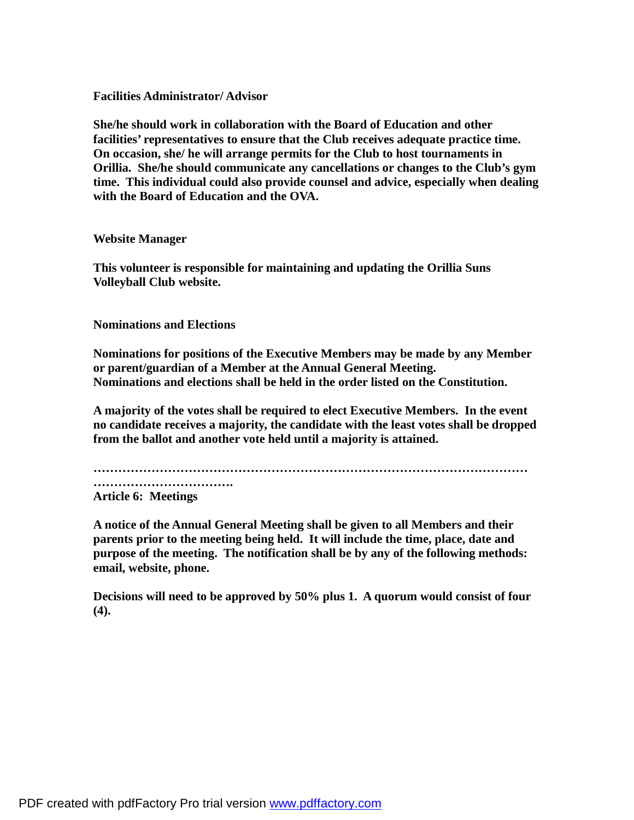### **Facilities Administrator/ Advisor**

**She/he should work in collaboration with the Board of Education and other facilities' representatives to ensure that the Club receives adequate practice time. On occasion, she/ he will arrange permits for the Club to host tournaments in Orillia. She/he should communicate any cancellations or changes to the Club's gym time. This individual could also provide counsel and advice, especially when dealing with the Board of Education and the OVA.**

#### **Website Manager**

**This volunteer is responsible for maintaining and updating the Orillia Suns Volleyball Club website.** 

# **Nominations and Elections**

**Nominations for positions of the Executive Members may be made by any Member or parent/guardian of a Member at the Annual General Meeting. Nominations and elections shall be held in the order listed on the Constitution.**

**A majority of the votes shall be required to elect Executive Members. In the event no candidate receives a majority, the candidate with the least votes shall be dropped from the ballot and another vote held until a majority is attained.** 

**……………………………………………………………………………………………**

**……………………………. Article 6: Meetings**

**A notice of the Annual General Meeting shall be given to all Members and their parents prior to the meeting being held. It will include the time, place, date and purpose of the meeting. The notification shall be by any of the following methods: email, website, phone.**

**Decisions will need to be approved by 50% plus 1. A quorum would consist of four (4).**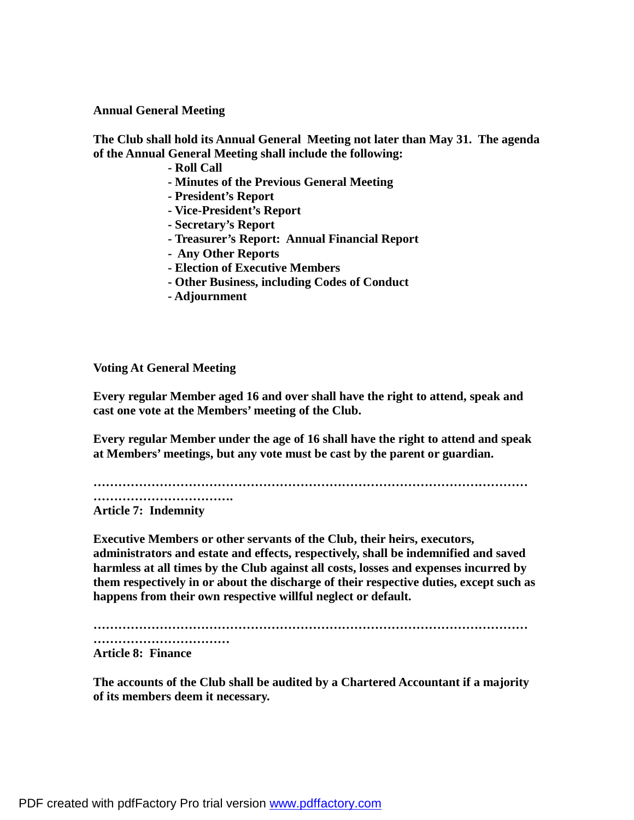**Annual General Meeting**

**The Club shall hold its Annual General Meeting not later than May 31. The agenda of the Annual General Meeting shall include the following:**

**- Roll Call** 

- **- Minutes of the Previous General Meeting**
- **President's Report**
- **- Vice-President's Report**
- **- Secretary's Report**
- **- Treasurer's Report: Annual Financial Report**
- **- Any Other Reports**
- **- Election of Executive Members**
- **- Other Business, including Codes of Conduct**
- **- Adjournment**

**Voting At General Meeting**

**Every regular Member aged 16 and over shall have the right to attend, speak and cast one vote at the Members' meeting of the Club.**

**Every regular Member under the age of 16 shall have the right to attend and speak at Members' meetings, but any vote must be cast by the parent or guardian.**

**……………………………………………………………………………………………**

**…………………………….**

**Article 7: Indemnity**

**Executive Members or other servants of the Club, their heirs, executors, administrators and estate and effects, respectively, shall be indemnified and saved harmless at all times by the Club against all costs, losses and expenses incurred by them respectively in or about the discharge of their respective duties, except such as happens from their own respective willful neglect or default.**

**……………………………………………………………………………………………**

**……………………………**

**Article 8: Finance**

**The accounts of the Club shall be audited by a Chartered Accountant if a majority of its members deem it necessary.**